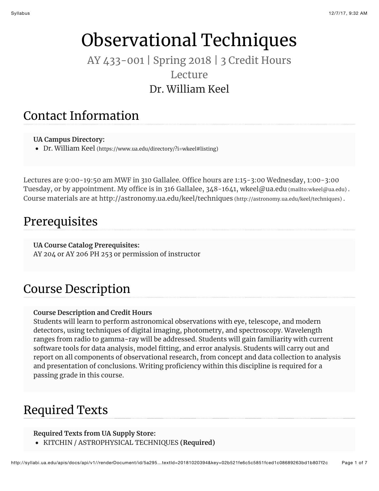# Observational Techniques

#### AY 433-001 | Spring 2018 | 3 Credit Hours Lecture Dr. William Keel

#### Contact Information

#### **UA Campus Directory:**

Dr. William Keel [\(https://www.ua.edu/directory/?i=wkeel#listing\)](https://www.ua.edu/directory/?i=wkeel#listing)

Lectures are 9:00-19:50 am MWF in 310 Gallalee. Office hours are 1:15-3:00 Wednesday, 1:00-3:00 Tuesday, or by appointment. My office is in 316 Gallalee, 348-1641, [wkeel@ua.edu \(mailto:wkeel@ua.edu\) .](mailto:wkeel@ua.edu) Course materials are at [http://astronomy.ua.edu/keel/techniques \(http://astronomy.ua.edu/keel/techniques\) .](http://astronomy.ua.edu/keel/techniques)

#### Prerequisites

**UA Course Catalog Prerequisites:** AY 204 or AY 206 PH 253 or permission of instructor

## Course Description

#### **Course Description and Credit Hours**

Students will learn to perform astronomical observations with eye, telescope, and modern detectors, using techniques of digital imaging, photometry, and spectroscopy. Wavelength ranges from radio to gamma-ray will be addressed. Students will gain familiarity with current software tools for data analysis, model fitting, and error analysis. Students will carry out and report on all components of observational research, from concept and data collection to analysis and presentation of conclusions. Writing proficiency within this discipline is required for a passing grade in this course.

#### Required Texts

#### **Required Texts from UA Supply Store:**

KITCHIN / ASTROPHYSICAL TECHNIQUES **(Required)**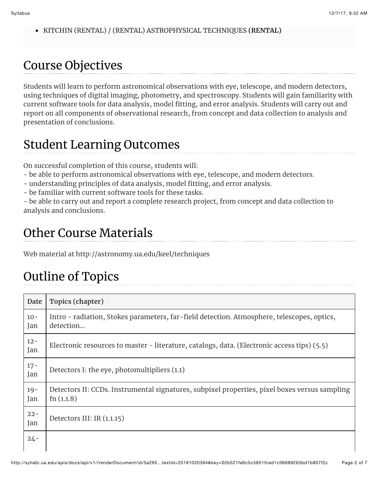KITCHIN (RENTAL) / (RENTAL) ASTROPHYSICAL TECHNIQUES **(RENTAL)**

### Course Objectives

Students will learn to perform astronomical observations with eye, telescope, and modern detectors, using techniques of digital imaging, photometry, and spectroscopy. Students will gain familiarity with current software tools for data analysis, model fitting, and error analysis. Students will carry out and report on all components of observational research, from concept and data collection to analysis and presentation of conclusions.

# Student Learning Outcomes

On successful completion of this course, students will:

- be able to perform astronomical observations with eye, telescope, and modern detectors.
- understanding principles of data analysis, model fitting, and error analysis.
- be familiar with current software tools for these tasks.

- be able to carry out and report a complete research project, from concept and data collection to analysis and conclusions.

# Other Course Materials

Web material at http://astronomy.ua.edu/keel/techniques

# Outline of Topics

| Date          | Topics (chapter)                                                                                              |
|---------------|---------------------------------------------------------------------------------------------------------------|
| $10 -$<br>Jan | Intro - radiation, Stokes parameters, far-field detection. Atmosphere, telescopes, optics,<br>detection       |
| $12 -$<br>Jan | Electronic resources to master - literature, catalogs, data. (Electronic access tips) (5.5)                   |
| $17 -$<br>Jan | Detectors I: the eye, photomultipliers (1.1)                                                                  |
| $19 -$<br>Jan | Detectors II: CCDs. Instrumental signatures, subpixel properties, pixel boxes versus sampling<br>fn $(1.1.8)$ |
| $22 -$<br>Jan | Detectors III: IR (1.1.15)                                                                                    |
| $24 -$        |                                                                                                               |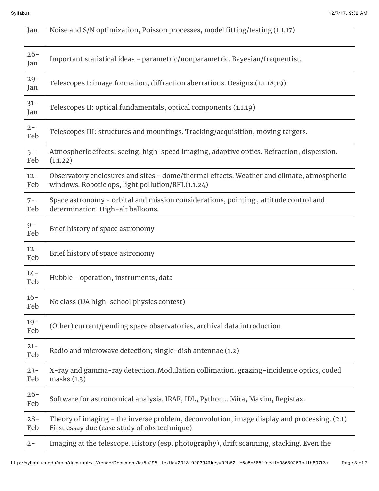| Jan           | Noise and S/N optimization, Poisson processes, model fitting/testing (1.1.17)                                                                   |
|---------------|-------------------------------------------------------------------------------------------------------------------------------------------------|
| $26 -$<br>Jan | Important statistical ideas - parametric/nonparametric. Bayesian/frequentist.                                                                   |
| $29 -$<br>Jan | Telescopes I: image formation, diffraction aberrations. Designs.(1.1.18,19)                                                                     |
| $31 -$<br>Jan | Telescopes II: optical fundamentals, optical components (1.1.19)                                                                                |
| $2 -$<br>Feb  | Telescopes III: structures and mountings. Tracking/acquisition, moving targers.                                                                 |
| $5-$<br>Feb   | Atmospheric effects: seeing, high-speed imaging, adaptive optics. Refraction, dispersion.<br>(1.1.22)                                           |
| $12 -$<br>Feb | Observatory enclosures and sites - dome/thermal effects. Weather and climate, atmospheric<br>windows. Robotic ops, light pollution/RFI.(1.1.24) |
| $7-$<br>Feb   | Space astronomy - orbital and mission considerations, pointing, attitude control and<br>determination. High-alt balloons.                       |
| $9-$<br>Feb   | Brief history of space astronomy                                                                                                                |
| $12 -$<br>Feb | Brief history of space astronomy                                                                                                                |
| $14 -$<br>Feb | Hubble - operation, instruments, data                                                                                                           |
| $16 -$<br>Feb | No class (UA high-school physics contest)                                                                                                       |
| $19-$<br>Feb  | (Other) current/pending space observatories, archival data introduction                                                                         |
| $21 -$<br>Feb | Radio and microwave detection; single-dish antennae (1.2)                                                                                       |
| $23 -$<br>Feb | X-ray and gamma-ray detection. Modulation collimation, grazing-incidence optics, coded<br>masks.(1.3)                                           |
| $26 -$<br>Feb | Software for astronomical analysis. IRAF, IDL, Python Mira, Maxim, Registax.                                                                    |
| $28 -$<br>Feb | Theory of imaging - the inverse problem, deconvolution, image display and processing. (2.1)<br>First essay due (case study of obs technique)    |
| $2 -$         | Imaging at the telescope. History (esp. photography), drift scanning, stacking. Even the                                                        |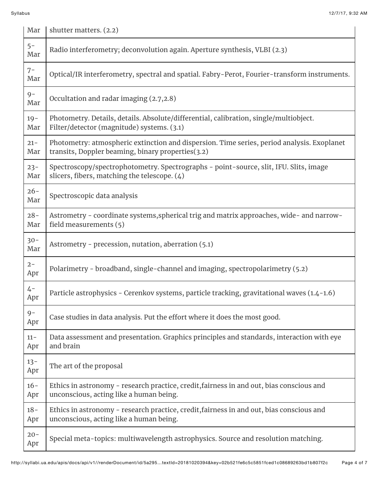| Mar           | shutter matters. (2.2)                                                                                                                          |
|---------------|-------------------------------------------------------------------------------------------------------------------------------------------------|
| $5-$<br>Mar   | Radio interferometry; deconvolution again. Aperture synthesis, VLBI (2.3)                                                                       |
| $7-$<br>Mar   | Optical/IR interferometry, spectral and spatial. Fabry-Perot, Fourier-transform instruments.                                                    |
| $9-$<br>Mar   | Occultation and radar imaging (2.7,2.8)                                                                                                         |
| $19 -$<br>Mar | Photometry. Details, details. Absolute/differential, calibration, single/multiobject.<br>Filter/detector (magnitude) systems. (3.1)             |
| $21 -$<br>Mar | Photometry: atmospheric extinction and dispersion. Time series, period analysis. Exoplanet<br>transits, Doppler beaming, binary properties(3.2) |
| $23 -$<br>Mar | Spectroscopy/spectrophotometry. Spectrographs - point-source, slit, IFU. Slits, image<br>slicers, fibers, matching the telescope. (4)           |
| $26 -$<br>Mar | Spectroscopic data analysis                                                                                                                     |
| $28 -$<br>Mar | Astrometry - coordinate systems, spherical trig and matrix approaches, wide- and narrow-<br>field measurements (5)                              |
| $30 -$<br>Mar | Astrometry - precession, nutation, aberration (5.1)                                                                                             |
| $2 -$<br>Apr  | Polarimetry - broadband, single-channel and imaging, spectropolarimetry (5.2)                                                                   |
| $4-$<br>Apr   | Particle astrophysics - Cerenkov systems, particle tracking, gravitational waves (1.4-1.6)                                                      |
| $9-$<br>Apr   | Case studies in data analysis. Put the effort where it does the most good.                                                                      |
| $11 -$<br>Apr | Data assessment and presentation. Graphics principles and standards, interaction with eye<br>and brain                                          |
| $13 -$<br>Apr | The art of the proposal                                                                                                                         |
| $16 -$<br>Apr | Ethics in astronomy - research practice, credit, fairness in and out, bias conscious and<br>unconscious, acting like a human being.             |
| $18 -$<br>Apr | Ethics in astronomy - research practice, credit, fairness in and out, bias conscious and<br>unconscious, acting like a human being.             |
| $20 -$<br>Apr | Special meta-topics: multiwavelength astrophysics. Source and resolution matching.                                                              |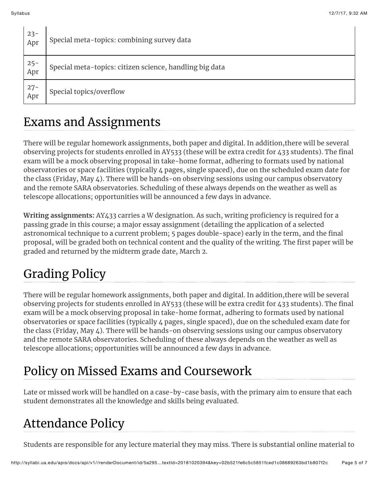Ĭ

 $\mathbf{I}$ 

| 23-<br>Apr | Special meta-topics: combining survey data              |
|------------|---------------------------------------------------------|
| 25-<br>Apr | Special meta-topics: citizen science, handling big data |
| 27-<br>Apr | Special topics/overflow                                 |

### Exams and Assignments

There will be regular homework assignments, both paper and digital. In addition,there will be several observing projects for students enrolled in AY533 (these will be extra credit for 433 students). The final exam will be a mock observing proposal in take-home format, adhering to formats used by national observatories or space facilities (typically 4 pages, single spaced), due on the scheduled exam date for the class (Friday, May 4). There will be hands-on observing sessions using our campus observatory and the remote SARA observatories. Scheduling of these always depends on the weather as well as telescope allocations; opportunities will be announced a few days in advance.

**Writing assignments:** AY433 carries a W designation. As such, writing proficiency is required for a passing grade in this course; a major essay assignment (detailing the application of a selected astronomical technique to a current problem; 5 pages double-space) early in the term, and the final proposal, will be graded both on technical content and the quality of the writing. The first paper will be graded and returned by the midterm grade date, March 2.

# Grading Policy

There will be regular homework assignments, both paper and digital. In addition,there will be several observing projects for students enrolled in AY533 (these will be extra credit for 433 students). The final exam will be a mock observing proposal in take-home format, adhering to formats used by national observatories or space facilities (typically 4 pages, single spaced), due on the scheduled exam date for the class (Friday, May 4). There will be hands-on observing sessions using our campus observatory and the remote SARA observatories. Scheduling of these always depends on the weather as well as telescope allocations; opportunities will be announced a few days in advance.

# Policy on Missed Exams and Coursework

Late or missed work will be handled on a case-by-case basis, with the primary aim to ensure that each student demonstrates all the knowledge and skills being evaluated.

# Attendance Policy

Students are responsible for any lecture material they may miss. There is substantial online material to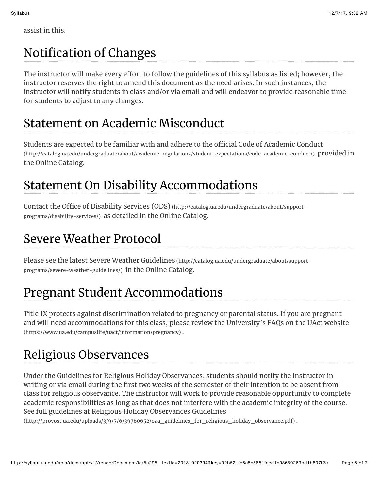assist in this.

# Notification of Changes

The instructor will make every effort to follow the guidelines of this syllabus as listed; however, the instructor reserves the right to amend this document as the need arises. In such instances, the instructor will notify students in class and/or via email and will endeavor to provide reasonable time for students to adjust to any changes.

#### Statement on Academic Misconduct

Students are expected to be familiar with and adhere to the official Code of Academic Conduct [\(http://catalog.ua.edu/undergraduate/about/academic-regulations/student-expectations/code-academic-conduct/\) pr](http://catalog.ua.edu/undergraduate/about/academic-regulations/student-expectations/code-academic-conduct/)ovided in the Online Catalog.

## Statement On Disability Accommodations

Contact the Offi[ce of Disability Services \(ODS\) \(http://catalog.ua.edu/undergraduate/about/support](http://catalog.ua.edu/undergraduate/about/support-programs/disability-services/)programs/disability-services/) as detailed in the Online Catalog.

# Severe Weather Protocol

[Please see the latest Severe Weather Guidelines \(http://catalog.ua.edu/undergraduate/about/support](http://catalog.ua.edu/undergraduate/about/support-programs/severe-weather-guidelines/)programs/severe-weather-guidelines/) in the Online Catalog.

# Pregnant Student Accommodations

Title IX protects against discrimination related to pregnancy or parental status. If you are pregnant [and will need accommodations for this class, please review the University's FAQs on the UAct website](https://www.ua.edu/campuslife/uact/information/pregnancy) (https://www.ua.edu/campuslife/uact/information/pregnancy) .

# Religious Observances

Under the Guidelines for Religious Holiday Observances, students should notify the instructor in writing or via email during the first two weeks of the semester of their intention to be absent from class for religious observance. The instructor will work to provide reasonable opportunity to complete academic responsibilities as long as that does not interfere with the academic integrity of the course. See full guidelines at Religious Holiday Observances Guidelines

[\(http://provost.ua.edu/uploads/3/9/7/6/39760652/oaa\\_guidelines\\_for\\_religious\\_holiday\\_observance.pdf\) .](http://provost.ua.edu/uploads/3/9/7/6/39760652/oaa_guidelines_for_religious_holiday_observance.pdf)